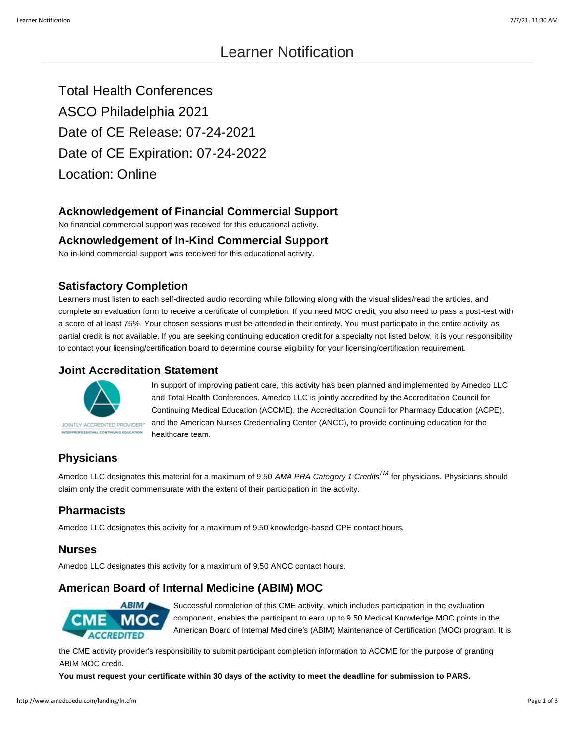Total Health Conferences ASCO Philadelphia 2021 Date of CE Release: 07-24-2021 Date of CE Expiration: 07-24-2022 Location: Online

# **Acknowledgement of Financial Commercial Support**

No financial commercial support was received for this educational activity.

### **Acknowledgement of In-Kind Commercial Support**

No in-kind commercial support was received for this educational activity.

## **Satisfactory Completion**

Learners must listen to each self-directed audio recording while following along with the visual slides/read the articles, and complete an evaluation form to receive a certificate of completion. If you need MOC credit, you also need to pass a post-test with a score of at least 75%. Your chosen sessions must be attended in their entirety. You must participate in the entire activity as partial credit is not available. If you are seeking continuing education credit for a specialty not listed below, it is your responsibility to contact your licensing/certification board to determine course eligibility for your licensing/certification requirement.

## **Joint Accreditation Statement**



In support of improving patient care, this activity has been planned and implemented by Amedco LLC and Total Health Conferences. Amedco LLC is jointly accredited by the Accreditation Council for Continuing Medical Education (ACCME), the Accreditation Council for Pharmacy Education (ACPE), and the American Nurses Credentialing Center (ANCC), to provide continuing education for the healthcare team.

# **Physicians**

Amedco LLC designates this material for a maximum of 9.50 *AMA PRA Category 1 CreditsTM* for physicians. Physicians should claim only the credit commensurate with the extent of their participation in the activity.

# **Pharmacists**

Amedco LLC designates this activity for a maximum of 9.50 knowledge-based CPE contact hours.

#### **Nurses**

Amedco LLC designates this activity for a maximum of 9.50 ANCC contact hours.

# **American Board of Internal Medicine (ABIM) MOC**



Successful completion of this CME activity, which includes participation in the evaluation component, enables the participant to earn up to 9.50 Medical Knowledge MOC points in the American Board of Internal Medicine's (ABIM) Maintenance of Certification (MOC) program. It is

the CME activity provider's responsibility to submit participant completion information to ACCME for the purpose of granting ABIM MOC credit.

**You must request your certificate within 30 days of the activity to meet the deadline for submission to PARS.**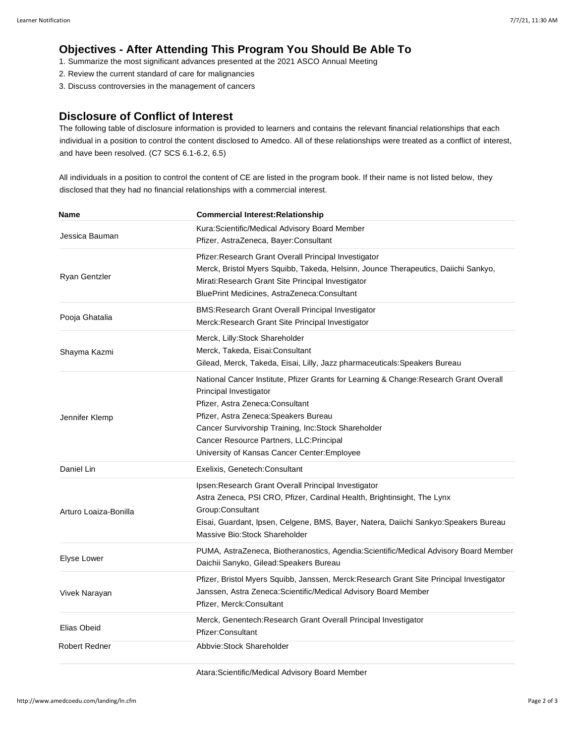# **Objectives - After Attending This Program You Should Be Able To**

- 1. Summarize the most significant advances presented at the 2021 ASCO Annual Meeting
- 2. Review the current standard of care for malignancies
- 3. Discuss controversies in the management of cancers

### **Disclosure of Conflict of Interest**

The following table of disclosure information is provided to learners and contains the relevant financial relationships that each individual in a position to control the content disclosed to Amedco. All of these relationships were treated as a conflict of interest, and have been resolved. (C7 SCS 6.1-6.2, 6.5)

All individuals in a position to control the content of CE are listed in the program book. If their name is not listed below, they disclosed that they had no financial relationships with a commercial interest.

| Name                  | <b>Commercial Interest: Relationship</b>                                                                                                                                                                                                                                                                                                         |
|-----------------------|--------------------------------------------------------------------------------------------------------------------------------------------------------------------------------------------------------------------------------------------------------------------------------------------------------------------------------------------------|
| Jessica Bauman        | Kura:Scientific/Medical Advisory Board Member<br>Pfizer, AstraZeneca, Bayer:Consultant                                                                                                                                                                                                                                                           |
| Ryan Gentzler         | Pfizer: Research Grant Overall Principal Investigator<br>Merck, Bristol Myers Squibb, Takeda, Helsinn, Jounce Therapeutics, Daiichi Sankyo,<br>Mirati:Research Grant Site Principal Investigator<br>BluePrint Medicines, AstraZeneca:Consultant                                                                                                  |
| Pooja Ghatalia        | BMS: Research Grant Overall Principal Investigator<br>Merck: Research Grant Site Principal Investigator                                                                                                                                                                                                                                          |
| Shayma Kazmi          | Merck, Lilly: Stock Shareholder<br>Merck, Takeda, Eisai:Consultant<br>Gilead, Merck, Takeda, Eisai, Lilly, Jazz pharmaceuticals: Speakers Bureau                                                                                                                                                                                                 |
| Jennifer Klemp        | National Cancer Institute, Pfizer Grants for Learning & Change: Research Grant Overall<br>Principal Investigator<br>Pfizer, Astra Zeneca: Consultant<br>Pfizer, Astra Zeneca: Speakers Bureau<br>Cancer Survivorship Training, Inc:Stock Shareholder<br>Cancer Resource Partners, LLC: Principal<br>University of Kansas Cancer Center: Employee |
| Daniel Lin            | Exelixis, Genetech: Consultant                                                                                                                                                                                                                                                                                                                   |
| Arturo Loaiza-Bonilla | Ipsen: Research Grant Overall Principal Investigator<br>Astra Zeneca, PSI CRO, Pfizer, Cardinal Health, Brightinsight, The Lynx<br>Group:Consultant<br>Eisai, Guardant, Ipsen, Celgene, BMS, Bayer, Natera, Daiichi Sankyo: Speakers Bureau<br>Massive Bio: Stock Shareholder                                                                    |
| Elyse Lower           | PUMA, AstraZeneca, Biotheranostics, Agendia: Scientific/Medical Advisory Board Member<br>Daichii Sanyko, Gilead: Speakers Bureau                                                                                                                                                                                                                 |
| Vivek Narayan         | Pfizer, Bristol Myers Squibb, Janssen, Merck: Research Grant Site Principal Investigator<br>Janssen, Astra Zeneca: Scientific/Medical Advisory Board Member<br>Pfizer, Merck: Consultant                                                                                                                                                         |
| Elias Obeid           | Merck, Genentech: Research Grant Overall Principal Investigator<br>Pfizer:Consultant                                                                                                                                                                                                                                                             |
| <b>Robert Redner</b>  | Abbyie: Stock Shareholder                                                                                                                                                                                                                                                                                                                        |

Atara:Scientific/Medical Advisory Board Member